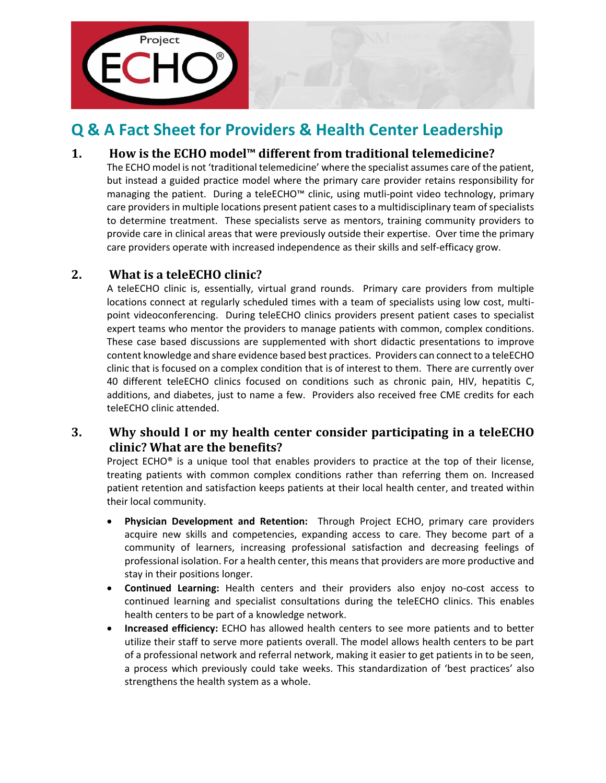



# **Q & A Fact Sheet for Providers & Health Center Leadership**

# **1. How is the ECHO model™ different from traditional telemedicine?**

The ECHO model is not 'traditional telemedicine' where the specialist assumes care of the patient, but instead a guided practice model where the primary care provider retains responsibility for managing the patient. During a teleECHO™ clinic, using mutli-point video technology, primary care providers in multiple locations present patient cases to a multidisciplinary team of specialists to determine treatment. These specialists serve as mentors, training community providers to provide care in clinical areas that were previously outside their expertise. Over time the primary care providers operate with increased independence as their skills and self-efficacy grow.

# **2. What is a teleECHO clinic?**

A teleECHO clinic is, essentially, virtual grand rounds. Primary care providers from multiple locations connect at regularly scheduled times with a team of specialists using low cost, multipoint videoconferencing. During teleECHO clinics providers present patient cases to specialist expert teams who mentor the providers to manage patients with common, complex conditions. These case based discussions are supplemented with short didactic presentations to improve content knowledge and share evidence based best practices. Providers can connect to a teleECHO clinic that is focused on a complex condition that is of interest to them. There are currently over 40 different teleECHO clinics focused on conditions such as chronic pain, HIV, hepatitis C, additions, and diabetes, just to name a few. Providers also received free CME credits for each teleECHO clinic attended.

# **3. Why should I or my health center consider participating in a teleECHO clinic? What are the benefits?**

Project ECHO<sup>®</sup> is a unique tool that enables providers to practice at the top of their license, treating patients with common complex conditions rather than referring them on. Increased patient retention and satisfaction keeps patients at their local health center, and treated within their local community.

- **Physician Development and Retention:** Through Project ECHO, primary care providers acquire new skills and competencies, expanding access to care. They become part of a community of learners, increasing professional satisfaction and decreasing feelings of professional isolation. For a health center, this means that providers are more productive and stay in their positions longer.
- **Continued Learning:** Health centers and their providers also enjoy no-cost access to continued learning and specialist consultations during the teleECHO clinics. This enables health centers to be part of a knowledge network.
- **Increased efficiency:** ECHO has allowed health centers to see more patients and to better utilize their staff to serve more patients overall. The model allows health centers to be part of a professional network and referral network, making it easier to get patients in to be seen, a process which previously could take weeks. This standardization of 'best practices' also strengthens the health system as a whole.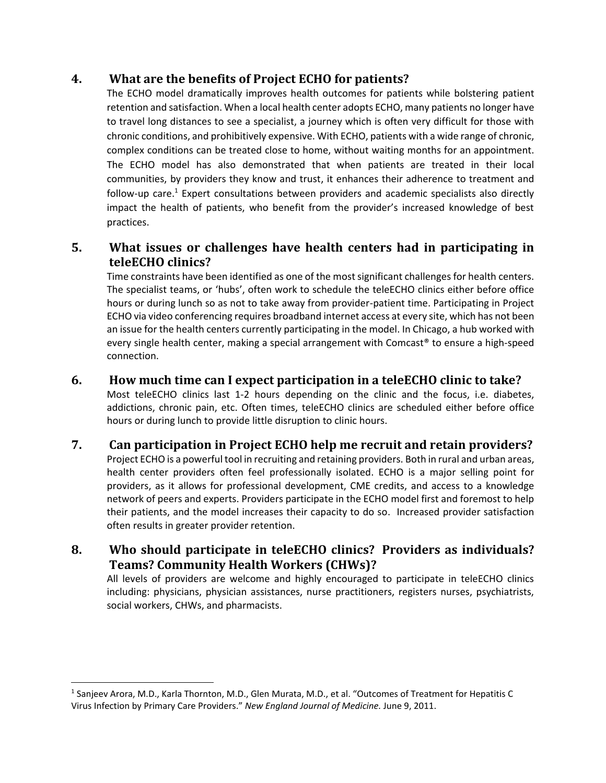## **4. What are the benefits of Project ECHO for patients?**

The ECHO model dramatically improves health outcomes for patients while bolstering patient retention and satisfaction. When a local health center adopts ECHO, many patients no longer have to travel long distances to see a specialist, a journey which is often very difficult for those with chronic conditions, and prohibitively expensive. With ECHO, patients with a wide range of chronic, complex conditions can be treated close to home, without waiting months for an appointment. The ECHO model has also demonstrated that when patients are treated in their local communities, by providers they know and trust, it enhances their adherence to treatment and follow-up care.<sup>1</sup> Expert consultations between providers and academic specialists also directly impact the health of patients, who benefit from the provider's increased knowledge of best practices.

# **5. What issues or challenges have health centers had in participating in teleECHO clinics?**

Time constraints have been identified as one of the most significant challenges for health centers. The specialist teams, or 'hubs', often work to schedule the teleECHO clinics either before office hours or during lunch so as not to take away from provider-patient time. Participating in Project ECHO via video conferencing requires broadband internet access at every site, which has not been an issue for the health centers currently participating in the model. In Chicago, a hub worked with every single health center, making a special arrangement with Comcast® to ensure a high-speed connection.

### **6. How much time can I expect participation in a teleECHO clinic to take?**

Most teleECHO clinics last 1-2 hours depending on the clinic and the focus, i.e. diabetes, addictions, chronic pain, etc. Often times, teleECHO clinics are scheduled either before office hours or during lunch to provide little disruption to clinic hours.

#### **7. Can participation in Project ECHO help me recruit and retain providers?**

Project ECHO is a powerful tool in recruiting and retaining providers. Both in rural and urban areas, health center providers often feel professionally isolated. ECHO is a major selling point for providers, as it allows for professional development, CME credits, and access to a knowledge network of peers and experts. Providers participate in the ECHO model first and foremost to help their patients, and the model increases their capacity to do so. Increased provider satisfaction often results in greater provider retention.

# **8. Who should participate in teleECHO clinics? Providers as individuals? Teams? Community Health Workers (CHWs)?**

All levels of providers are welcome and highly encouraged to participate in teleECHO clinics including: physicians, physician assistances, nurse practitioners, registers nurses, psychiatrists, social workers, CHWs, and pharmacists.

<sup>1</sup> Sanjeev Arora, M.D., Karla Thornton, M.D., Glen Murata, M.D., et al. "Outcomes of Treatment for Hepatitis C Virus Infection by Primary Care Providers." *New England Journal of Medicine.* June 9, 2011.